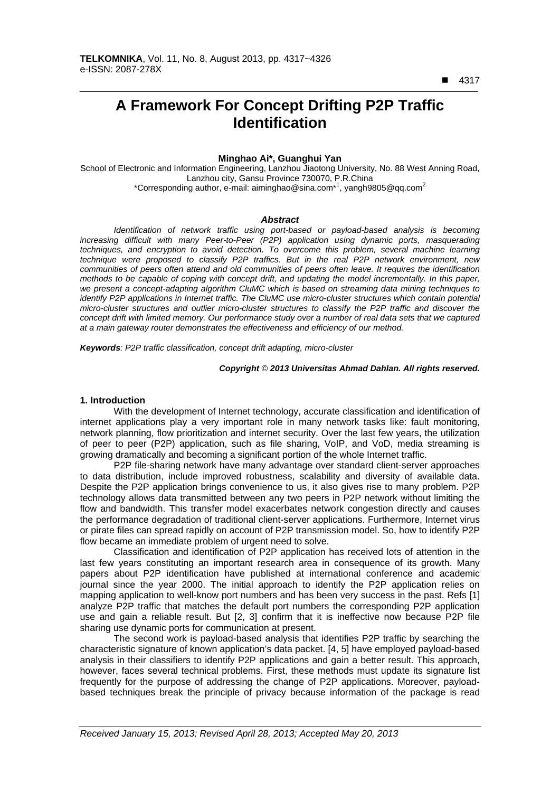■ 4317

 $\overline{a}$ 

# **A Framework For Concept Drifting P2P Traffic Identification**

# **Minghao Ai\*, Guanghui Yan**

School of Electronic and Information Engineering, Lanzhou Jiaotong University, No. 88 West Anning Road, Lanzhou city, Gansu Province 730070, P.R.China \*Corresponding author, e-mail: aiminghao@sina.com<sup>\*1</sup>, yangh9805@qq.com<sup>2</sup>

# *Abstract*

*Identification of network traffic using port-based or payload-based analysis is becoming increasing difficult with many Peer-to-Peer (P2P) application using dynamic ports, masquerading*  techniques, and encryption to avoid detection. To overcome this problem, several machine learning *technique were proposed to classify P2P traffics. But in the real P2P network environment, new communities of peers often attend and old communities of peers often leave. It requires the identification methods to be capable of coping with concept drift, and updating the model incrementally. In this paper, we present a concept-adapting algorithm CluMC which is based on streaming data mining techniques to identify P2P applications in Internet traffic. The CluMC use micro-cluster structures which contain potential micro-cluster structures and outlier micro-cluster structures to classify the P2P traffic and discover the concept drift with limited memory. Our performance study over a number of real data sets that we captured at a main gateway router demonstrates the effectiveness and efficiency of our method.* 

*Keywords: P2P traffic classification, concept drift adapting, micro-cluster*

#### *Copyright* © *2013 Universitas Ahmad Dahlan. All rights reserved.*

## **1. Introduction**

With the development of Internet technology, accurate classification and identification of internet applications play a very important role in many network tasks like: fault monitoring, network planning, flow prioritization and internet security. Over the last few years, the utilization of peer to peer (P2P) application, such as file sharing, VoIP, and VoD, media streaming is growing dramatically and becoming a significant portion of the whole Internet traffic.

P2P file-sharing network have many advantage over standard client-server approaches to data distribution, include improved robustness, scalability and diversity of available data. Despite the P2P application brings convenience to us, it also gives rise to many problem. P2P technology allows data transmitted between any two peers in P2P network without limiting the flow and bandwidth. This transfer model exacerbates network congestion directly and causes the performance degradation of traditional client-server applications. Furthermore, Internet virus or pirate files can spread rapidly on account of P2P transmission model. So, how to identify P2P flow became an immediate problem of urgent need to solve.

Classification and identification of P2P application has received lots of attention in the last few years constituting an important research area in consequence of its growth. Many papers about P2P identification have published at international conference and academic journal since the year 2000. The initial approach to identify the P2P application relies on mapping application to well-know port numbers and has been very success in the past. Refs [1] analyze P2P traffic that matches the default port numbers the corresponding P2P application use and gain a reliable result. But [2, 3] confirm that it is ineffective now because P2P file sharing use dynamic ports for communication at present.

The second work is payload-based analysis that identifies P2P traffic by searching the characteristic signature of known application's data packet. [4, 5] have employed payload-based analysis in their classifiers to identify P2P applications and gain a better result. This approach, however, faces several technical problems. First, these methods must update its signature list frequently for the purpose of addressing the change of P2P applications. Moreover, payloadbased techniques break the principle of privacy because information of the package is read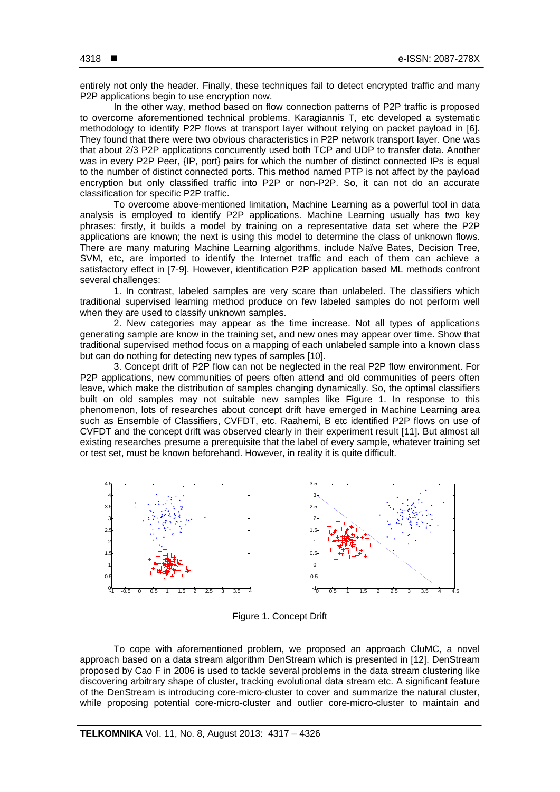entirely not only the header. Finally, these techniques fail to detect encrypted traffic and many P2P applications begin to use encryption now.

In the other way, method based on flow connection patterns of P2P traffic is proposed to overcome aforementioned technical problems. Karagiannis T, etc developed a systematic methodology to identify P2P flows at transport layer without relying on packet payload in [6]. They found that there were two obvious characteristics in P2P network transport layer. One was that about 2/3 P2P applications concurrently used both TCP and UDP to transfer data. Another was in every P2P Peer, {IP, port} pairs for which the number of distinct connected IPs is equal to the number of distinct connected ports. This method named PTP is not affect by the payload encryption but only classified traffic into P2P or non-P2P. So, it can not do an accurate classification for specific P2P traffic.

To overcome above-mentioned limitation, Machine Learning as a powerful tool in data analysis is employed to identify P2P applications. Machine Learning usually has two key phrases: firstly, it builds a model by training on a representative data set where the P2P applications are known; the next is using this model to determine the class of unknown flows. There are many maturing Machine Learning algorithms, include Naïve Bates, Decision Tree, SVM, etc, are imported to identify the Internet traffic and each of them can achieve a satisfactory effect in [7-9]. However, identification P2P application based ML methods confront several challenges:

1. In contrast, labeled samples are very scare than unlabeled. The classifiers which traditional supervised learning method produce on few labeled samples do not perform well when they are used to classify unknown samples.

2. New categories may appear as the time increase. Not all types of applications generating sample are know in the training set, and new ones may appear over time. Show that traditional supervised method focus on a mapping of each unlabeled sample into a known class but can do nothing for detecting new types of samples [10].

3. Concept drift of P2P flow can not be neglected in the real P2P flow environment. For P2P applications, new communities of peers often attend and old communities of peers often leave, which make the distribution of samples changing dynamically. So, the optimal classifiers built on old samples may not suitable new samples like Figure 1. In response to this phenomenon, lots of researches about concept drift have emerged in Machine Learning area such as Ensemble of Classifiers, CVFDT, etc. Raahemi, B etc identified P2P flows on use of CVFDT and the concept drift was observed clearly in their experiment result [11]. But almost all existing researches presume a prerequisite that the label of every sample, whatever training set or test set, must be known beforehand. However, in reality it is quite difficult.



Figure 1. Concept Drift

To cope with aforementioned problem, we proposed an approach CluMC, a novel approach based on a data stream algorithm DenStream which is presented in [12]. DenStream proposed by Cao F in 2006 is used to tackle several problems in the data stream clustering like discovering arbitrary shape of cluster, tracking evolutional data stream etc. A significant feature of the DenStream is introducing core-micro-cluster to cover and summarize the natural cluster, while proposing potential core-micro-cluster and outlier core-micro-cluster to maintain and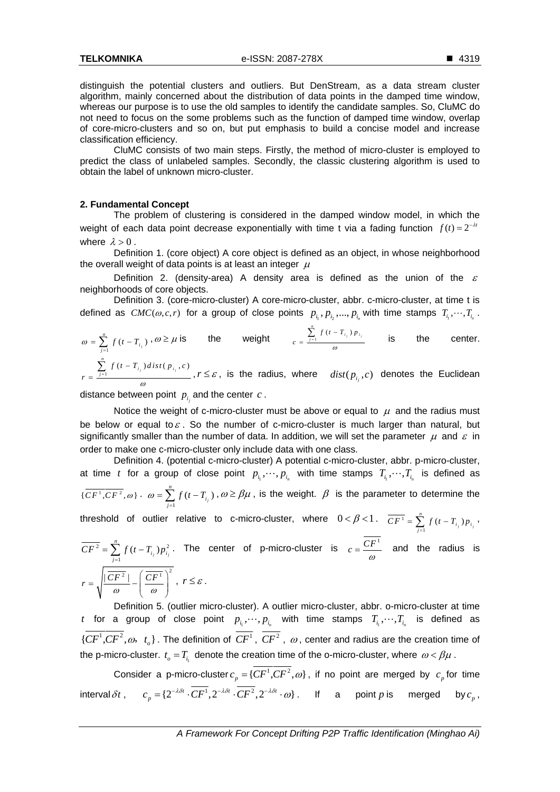distinguish the potential clusters and outliers. But DenStream, as a data stream cluster algorithm, mainly concerned about the distribution of data points in the damped time window, whereas our purpose is to use the old samples to identify the candidate samples. So, CluMC do not need to focus on the some problems such as the function of damped time window, overlap of core-micro-clusters and so on, but put emphasis to build a concise model and increase classification efficiency.

CluMC consists of two main steps. Firstly, the method of micro-cluster is employed to predict the class of unlabeled samples. Secondly, the classic clustering algorithm is used to obtain the label of unknown micro-cluster.

### **2. Fundamental Concept**

The problem of clustering is considered in the damped window model, in which the weight of each data point decrease exponentially with time t via a fading function  $f(t) = 2^{-\lambda t}$ where  $\lambda > 0$ .

Definition 1. (core object) A core object is defined as an object, in whose neighborhood the overall weight of data points is at least an integer  $\mu$ 

Definition 2. (density-area) A density area is defined as the union of the  $\varepsilon$ neighborhoods of core objects.

Definition 3. (core-micro-cluster) A core-micro-cluster, abbr. c-micro-cluster, at time t is defined as  $CMC(\omega, c, r)$  for a group of close points  $p_{i_1}, p_{i_2},..., p_{i_n}$  with time stamps  $T_{i_1},...,T_{i_n}$ .

*n*

$$
\omega = \sum_{j=1}^{n} f(t - T_{i_j}), \omega \ge \mu \text{ is } \text{ the weight } \frac{\sum_{j=1}^{n} f(t - T_{i_j}) p_{i_j}}{\omega} \text{ is } \text{ the center.}
$$
  

$$
r = \frac{\sum_{j=1}^{n} f(t - T_{i_j}) \text{dist}(p_{i_j}, c)}{\omega}, r \le \varepsilon, \text{ is the radius, where } \text{dist}(p_{i_j}, c) \text{ denotes the Euclidean}
$$

distance between point  $p_i$  and the center  $c$ .

Notice the weight of c-micro-cluster must be above or equal to  $\mu$  and the radius must be below or equal to  $\varepsilon$ . So the number of c-micro-cluster is much larger than natural, but significantly smaller than the number of data. In addition, we will set the parameter  $\mu$  and  $\varepsilon$  in order to make one c-micro-cluster only include data with one class.

Definition 4. (potential c-micro-cluster) A potential c-micro-cluster, abbr. p-micro-cluster, at time t for a group of close point  $p_{i_1}, \dots, p_{i_n}$  with time stamps  $T_{i_1}, \dots, T_{i_n}$  is defined as *n*

$$
\{\overline{CF^1}, \overline{CF^2}, \omega\} \cdot \omega = \sum_{j=1}^n f(t - T_{i_j}), \omega \ge \beta \mu
$$
, is the weight.  $\beta$  is the parameter to determine the

threshold of outlier relative to c-micro-cluster, where  $0 < \beta < 1$ .  $\overline{CF}$ <sup>1</sup>  $\sum_{i=1}^{n} f(t - T_{i_j}) p_{i_j}$  $\overline{CF^1} = \sum_{j=1}^n f(t - T_{i_j}) p_{i_j}$ 

$$
\overline{CF^2} = \sum_{j=1}^n f(t - T_{i_j}) p_{i_j}^2.
$$
 The center of p-micro-cluster is  $c = \frac{\overline{CF^1}}{\omega}$  and the radius is  $r = \sqrt{\frac{|\overline{CF^2}|}{\omega} - (\frac{\overline{CF^1}}{\omega})^2}$ ,  $r \le \varepsilon$ .

Definition 5. (outlier micro-cluster). A outlier micro-cluster, abbr. o-micro-cluster at time t for a group of close point  $p_{i_1}, \cdots, p_{i_n}$  with time stamps  $T_{i_1}, \cdots, T_{i_n}$  is defined as  ${C}$  ${C}$ <sup>1</sup>,  ${C}$ *CF*<sup>2</sup>,  $\omega$ ,  $t_o$ }. The definition of  ${C}$ <sup>T</sup>,  ${C}$ <sup>T</sup>,  $\omega$ , center and radius are the creation time of the p-micro-cluster.  $t_o = T_i$  denote the creation time of the o-micro-cluster, where  $\omega < \beta \mu$ .

Consider a p-micro-cluster  $c_p = \{ \overline{CF^1}, \overline{CF^2}, \omega \}$ , if no point are merged by  $c_p$  for time interval  $\delta t$ ,  $c_p = \{2^{-\lambda \delta t} \cdot CF^1, 2^{-\lambda \delta t} \cdot CF^2, 2^{-\lambda \delta t} \cdot \omega\}$ . If a point *p* is merged by  $c_p$ ,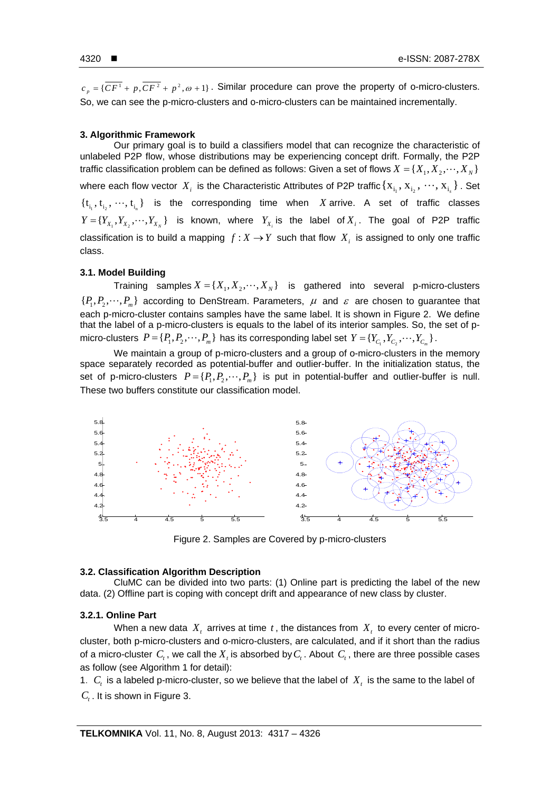$c_n = \{ \overline{CF^1} + p, \overline{CF^2} + p^2, \omega + 1 \}$ . Similar procedure can prove the property of o-micro-clusters. So, we can see the p-micro-clusters and o-micro-clusters can be maintained incrementally.

#### **3. Algorithmic Framework**

Our primary goal is to build a classifiers model that can recognize the characteristic of unlabeled P2P flow, whose distributions may be experiencing concept drift. Formally, the P2P traffic classification problem can be defined as follows: Given a set of flows  $X = \{X_1, X_2, \dots, X_N\}$ where each flow vector  $X_i$  is the Characteristic Attributes of P2P traffic  $\{X_{i_1}, X_{i_2}, \dots, X_{i_n}\}$ . Set  $\{t_{i_1}, t_{i_2}, \dots, t_{i_n}\}\$  is the corresponding time when *X* arrive. A set of traffic classes  $Y = \{Y_{X_1}, Y_{X_2}, \cdots, Y_{X_N}\}\$ is known, where  $Y_{X_1}$  is the label of  $X_i$ . The goal of P2P traffic classification is to build a mapping  $f: X \to Y$  such that flow  $X_i$  is assigned to only one traffic class.

## **3.1. Model Building**

Training samples  $X = \{X_1, X_2, \dots, X_N\}$  is gathered into several p-micro-clusters  $\{P_1, P_2, \dots, P_m\}$  according to DenStream. Parameters,  $\mu$  and  $\varepsilon$  are chosen to guarantee that each p-micro-cluster contains samples have the same label. It is shown in Figure 2. We define that the label of a p-micro-clusters is equals to the label of its interior samples. So, the set of pmicro-clusters  $P = \{P_1, P_2, \dots, P_m\}$  has its corresponding label set  $Y = \{Y_{C_1}, Y_{C_2}, \dots, Y_{C_m}\}$ .

We maintain a group of p-micro-clusters and a group of o-micro-clusters in the memory space separately recorded as potential-buffer and outlier-buffer. In the initialization status, the set of p-micro-clusters  $P = \{P_1, P_2, \dots, P_m\}$  is put in potential-buffer and outlier-buffer is null. These two buffers constitute our classification model.



Figure 2. Samples are Covered by p-micro-clusters

### **3.2. Classification Algorithm Description**

CluMC can be divided into two parts: (1) Online part is predicting the label of the new data. (2) Offline part is coping with concept drift and appearance of new class by cluster.

## **3.2.1. Online Part**

When a new data  $X_t$  arrives at time  $t$ , the distances from  $X_t$  to every center of microcluster, both p-micro-clusters and o-micro-clusters, are calculated, and if it short than the radius of a micro-cluster  $C_t$ , we call the  $X_t$  is absorbed by  $C_t$ . About  $C_t$ , there are three possible cases as follow (see Algorithm 1 for detail):

1.  $C_t$  is a labeled p-micro-cluster, so we believe that the label of  $X_t$  is the same to the label of *C<sub>t</sub>*. It is shown in Figure 3.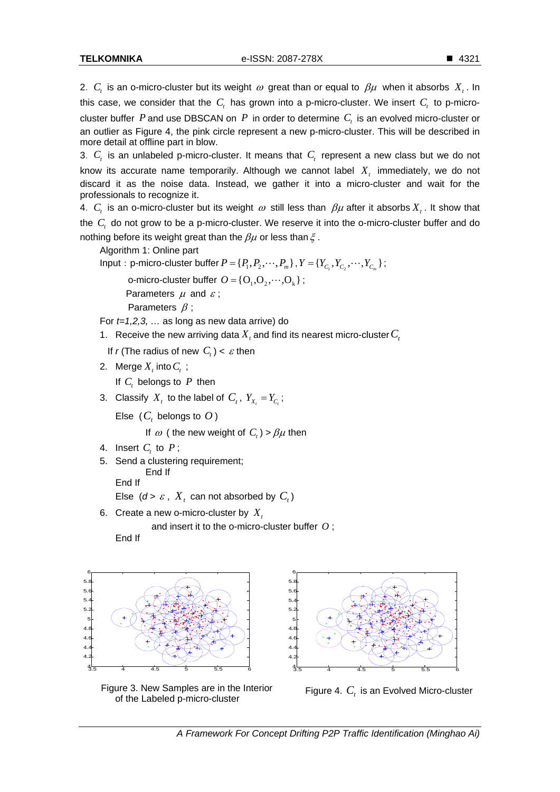2. C<sub>r</sub> is an o-micro-cluster but its weight  $\omega$  great than or equal to  $\beta\mu$  when it absorbs  $X_t$ . In this case, we consider that the  $C<sub>t</sub>$  has grown into a p-micro-cluster. We insert  $C<sub>t</sub>$  to p-microcluster buffer  $P$  and use DBSCAN on  $P$  in order to determine  $C<sub>r</sub>$  is an evolved micro-cluster or an outlier as Figure 4, the pink circle represent a new p-micro-cluster. This will be described in more detail at offline part in blow.

3.  $C<sub>t</sub>$  is an unlabeled p-micro-cluster. It means that  $C<sub>t</sub>$  represent a new class but we do not know its accurate name temporarily. Although we cannot label  $X<sub>i</sub>$  immediately, we do not discard it as the noise data. Instead, we gather it into a micro-cluster and wait for the professionals to recognize it.

4. C, is an o-micro-cluster but its weight  $\omega$  still less than  $\beta\mu$  after it absorbs  $X_i$ . It show that the *C*, do not grow to be a p-micro-cluster. We reserve it into the o-micro-cluster buffer and do nothing before its weight great than the  $\beta\mu$  or less than  $\xi$ .

Algorithm 1: Online part

Input: p-micro-cluster buffer  $P = \{P_1, P_2, \dots, P_m\}$ ,  $Y = \{Y_C, Y_C, \dots, Y_C\}$ ;

o-micro-cluster buffer  $O = \{O_1, O_2, \cdots, O_k\}$ ; Parameters  $\mu$  and  $\varepsilon$ ; Parameters  $\beta$ ;

For *t=1,2,3, …* as long as new data arrive) do

- 1. Receive the new arriving data  $X$ , and find its nearest micro-cluster  $C_t$
- If r (The radius of new  $C_i$ ) <  $\varepsilon$  then
- 2. Merge  $X_t$  into  $C_t$ ;

If  $C_t$  belongs to  $P$  then

3. Classify  $X_t$  to the label of  $C_t$ ,  $Y_{X_t} = Y_c$ ;

Else  $(C_t$  belongs to  $O$ )

If  $\omega$  ( the new weight of  $C<sub>t</sub>$ ) >  $\beta\mu$  then

- 4. Insert  $C_t$  to  $P$ ;
- 5. Send a clustering requirement; End If

End If

```
Else (d > \varepsilon, X_t can not absorbed by C_t)
```
6. Create a new o-micro-cluster by  $X_t$ 

and insert it to the o-micro-cluster buffer *O* ;

End If



Figure 3. New Samples are in the Interior the 3. New Samples are in the Interior Figure 4.  $C_t$  is an Evolved Micro-cluster of the Labeled p-micro-cluster

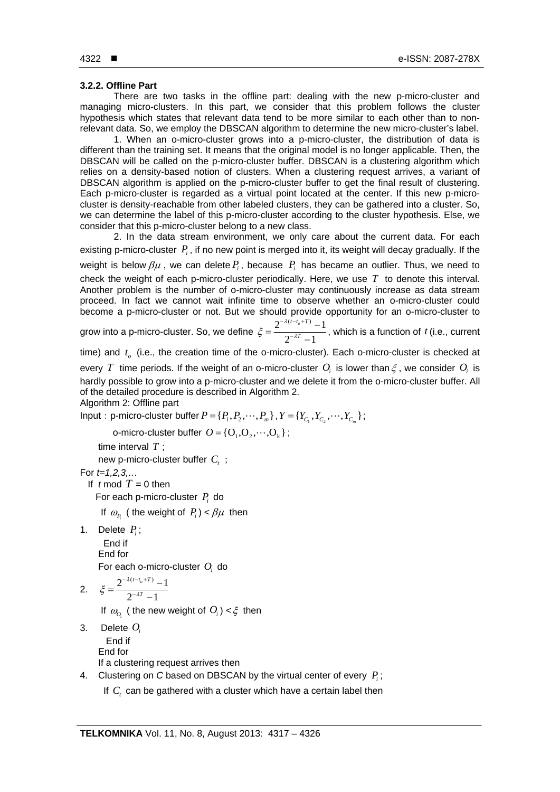# **3.2.2. Offline Part**

There are two tasks in the offline part: dealing with the new p-micro-cluster and managing micro-clusters. In this part, we consider that this problem follows the cluster hypothesis which states that relevant data tend to be more similar to each other than to nonrelevant data. So, we employ the DBSCAN algorithm to determine the new micro-cluster's label.

1. When an o-micro-cluster grows into a p-micro-cluster, the distribution of data is different than the training set. It means that the original model is no longer applicable. Then, the DBSCAN will be called on the p-micro-cluster buffer. DBSCAN is a clustering algorithm which relies on a density-based notion of clusters. When a clustering request arrives, a variant of DBSCAN algorithm is applied on the p-micro-cluster buffer to get the final result of clustering. Each p-micro-cluster is regarded as a virtual point located at the center. If this new p-microcluster is density-reachable from other labeled clusters, they can be gathered into a cluster. So, we can determine the label of this p-micro-cluster according to the cluster hypothesis. Else, we consider that this p-micro-cluster belong to a new class.

2. In the data stream environment, we only care about the current data. For each existing p-micro-cluster *Pi* , if no new point is merged into it, its weight will decay gradually. If the weight is below  $\beta\mu$ , we can delete  $P_i$ , because  $P_i$  has became an outlier. Thus, we need to check the weight of each p-micro-cluster periodically. Here, we use *T* to denote this interval. Another problem is the number of o-micro-cluster may continuously increase as data stream proceed. In fact we cannot wait infinite time to observe whether an o-micro-cluster could become a p-micro-cluster or not. But we should provide opportunity for an o-micro-cluster to

grow into a p-micro-cluster. So, we define  $\xi = \frac{2^{-\lambda(t-t_o+T)}-1}{2\lambda(t-t_o+T)}$  $2^{-\lambda T} - 1$  $t-t_o+T$ *T* λ  $\xi = \frac{1}{\lambda - \lambda}$  $-\lambda(t-t_{\alpha}+$  $=\frac{2^{-\lambda(t-t_o+T)}-1}{2^{-\lambda T}-1}$ , which is a function of *t* (i.e., current

time) and  $t<sub>o</sub>$  (i.e., the creation time of the o-micro-cluster). Each o-micro-cluster is checked at every *T* time periods. If the weight of an o-micro-cluster  $O_i$  is lower than  $\xi$ , we consider  $O_i$  is hardly possible to grow into a p-micro-cluster and we delete it from the o-micro-cluster buffer. All of the detailed procedure is described in Algorithm 2.

Algorithm 2: Offline part

Input: p-micro-cluster buffer  $P = \{P_1, P_2, \dots, P_m\}$ ,  $Y = \{Y_C, Y_C, \dots, Y_C\}$ ;

o-micro-cluster buffer  $O = \{O_1, O_2, \dots, O_k\}$ ;

time interval *T* ;

new p-micro-cluster buffer C<sub>c</sub>;

For *t=1,2,3,…*

If  $t \mod T = 0$  then

For each p-micro-cluster  $P_i$  do

If  $\omega_p$  ( the weight of  $P_i$ ) <  $\beta\mu$  then

1. Delete *Pi* ;

 End if End for

For each o-micro-cluster *Oi* do

2. 
$$
\xi = \frac{2^{-\lambda(t-t_o+T)}-1}{2^{-\lambda T}-1}
$$

If  $\omega_{0}$  (the new weight of  $O_i$ ) <  $\xi$  then

- 3. Delete *Oi* End if End for If a clustering request arrives then
- 4. Clustering on *C* based on DBSCAN by the virtual center of every *Pi* ;
	- If  $C<sub>t</sub>$  can be gathered with a cluster which have a certain label then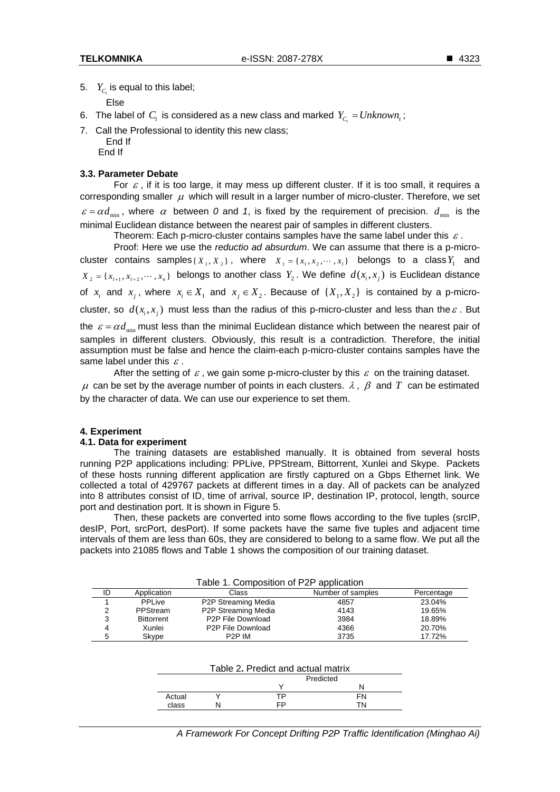5.  $Y_c$  is equal to this label;

Else

- 6. The label of  $C_t$  is considered as a new class and marked  $Y_{C_t} = Unknown_t$ ;
- 7. Call the Professional to identity this new class;
	- End If
	- End If

# **3.3. Parameter Debate**

For  $\varepsilon$ , if it is too large, it may mess up different cluster. If it is too small, it requires a corresponding smaller  $\mu$  which will result in a larger number of micro-cluster. Therefore, we set  $\varepsilon = \alpha d_{\min}$ , where  $\alpha$  between 0 and 1, is fixed by the requirement of precision.  $d_{\min}$  is the minimal Euclidean distance between the nearest pair of samples in different clusters.

Theorem: Each p-micro-cluster contains samples have the same label under this  $\varepsilon$ .

Proof: Here we use the *reductio ad absurdum*. We can assume that there is a p-microcluster contains samples { $X_1, X_2$ }, where  $X_1 = \{x_1, x_2, \dots, x_l\}$  belongs to a class  $Y_1$  and  $X_2 = \{x_{i+1}, x_{i+2}, \dots, x_n\}$  belongs to another class  $Y_2$ . We define  $d(x_i, x_j)$  is Euclidean distance of  $x_i$  and  $x_j$ , where  $x_i \in X_1$  and  $x_j \in X_2$ . Because of  $\{X_1, X_2\}$  is contained by a p-microcluster, so  $d(x_i, x_i)$  must less than the radius of this p-micro-cluster and less than the  $\varepsilon$ . But the  $\varepsilon = \alpha d_{\min}$  must less than the minimal Euclidean distance which between the nearest pair of samples in different clusters. Obviously, this result is a contradiction. Therefore, the initial assumption must be false and hence the claim-each p-micro-cluster contains samples have the same label under this  $\varepsilon$ .

After the setting of  $\varepsilon$ , we gain some p-micro-cluster by this  $\varepsilon$  on the training dataset.  $\mu$  can be set by the average number of points in each clusters.  $\lambda$ ,  $\beta$  and T can be estimated by the character of data. We can use our experience to set them.

# **4. Experiment**

# **4.1. Data for experiment**

The training datasets are established manually. It is obtained from several hosts running P2P applications including: PPLive, PPStream, Bittorrent, Xunlei and Skype. Packets of these hosts running different application are firstly captured on a Gbps Ethernet link. We collected a total of 429767 packets at different times in a day. All of packets can be analyzed into 8 attributes consist of ID, time of arrival, source IP, destination IP, protocol, length, source port and destination port. It is shown in Figure 5.

Then, these packets are converted into some flows according to the five tuples (srcIP, desIP, Port, srcPort, desPort). If some packets have the same five tuples and adjacent time intervals of them are less than 60s, they are considered to belong to a same flow. We put all the packets into 21085 flows and Table 1 shows the composition of our training dataset.

| Table 1. Composition of P2P application |                   |                                |                   |            |  |  |  |
|-----------------------------------------|-------------------|--------------------------------|-------------------|------------|--|--|--|
| ID                                      | Application       | Class                          | Number of samples | Percentage |  |  |  |
|                                         | PPLive            | P2P Streaming Media            | 4857              | 23.04%     |  |  |  |
| ົ                                       | PPStream          | P2P Streaming Media            | 4143              | 19.65%     |  |  |  |
| 3                                       | <b>Bittorrent</b> | P <sub>2</sub> P File Download | 3984              | 18.89%     |  |  |  |
| 4                                       | Xunlei            | P2P File Download              | 4366              | 20.70%     |  |  |  |
| 5                                       | Skype             | P <sub>2</sub> P IM            | 3735              | 17.72%     |  |  |  |

|        | Table 2. Predict and actual matrix |    |  |  |
|--------|------------------------------------|----|--|--|
|        | Predicted                          |    |  |  |
|        |                                    |    |  |  |
| Actual | ТP                                 |    |  |  |
| class  | cD.                                | TΝ |  |  |

*A Framework For Concept Drifting P2P Traffic Identification (Minghao Ai)*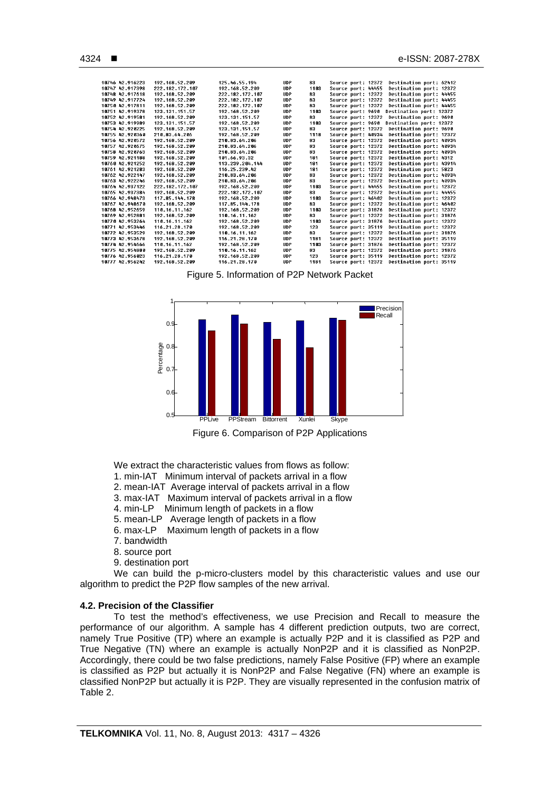| 10746 42.916223 | 192.168.52.209  | 125.46.55.194   | <b>UDP</b>  | 83   | Source port: 12372 |  | Destination port: 62412 |  |
|-----------------|-----------------|-----------------|-------------|------|--------------------|--|-------------------------|--|
| 10747 42.917398 | 222.182.172.107 | 192.168.52.209  | <b>UDP</b>  | 1183 | Source port: 44455 |  | Destination port: 12372 |  |
| 10748 42 917618 | 192.168.52.209  | 222.182.172.107 | <b>UDP</b>  | 83   | Source port: 12372 |  | Destination port: 44455 |  |
| 10749 42.917724 | 192.168.52.209  | 222.182.172.107 | <b>UDP</b>  | 83   | Source port: 12372 |  | Destination port: 44455 |  |
| 10750 42.917811 | 192.168.52.209  | 222.182.172.107 | <b>UDP</b>  | 83   | Source port: 12372 |  | Destination port: 44455 |  |
| 10751 42.919378 | 123.131.151.57  | 192.168.52.209  | <b>UDP</b>  | 1103 | Source port: 9690  |  | Destination port: 12372 |  |
| 10752 42.919581 | 192.168.52.209  | 123.131.151.57  | <b>UDP</b>  | 83   | Source port: 12372 |  | Destination port: 9690  |  |
| 10753 42 919989 | 123.131.151.57  | 192 168 52 209  | <b>UDP</b>  | 1183 | Source port: 9690  |  | Destination port: 12372 |  |
| 10754 42.920225 | 192.168.52.209  | 123.131.151.57  | <b>UDP</b>  | 83   | Source port: 12372 |  | Destination port: 9690  |  |
| 10755 42.920360 | 210-83-64-206   | 192.168.52.209  | <b>UDP</b>  | 1118 | Source port: 40934 |  | Destination port: 12372 |  |
| 10756 42 920572 | 192.168.52.209  | 210 83 64 206   | <b>IIDP</b> | 83.  | Source port: 12372 |  | Destination port: 40934 |  |
| 10757 42.920675 | 192.168.52.209  | 210.83.64.206   | <b>UDP</b>  | 83   | Source port: 12372 |  | Destination port: 40934 |  |
| 10758 42.920763 | 192.168.52.209  | 210.83.64.206   | <b>UDP</b>  | 83   | Source port: 12372 |  | Destination port: 40934 |  |
| 10759 42.921188 | 192.168.52.209  | 101 66 93 32    | <b>UDP</b>  | 181  | Source port: 12372 |  | Destination port: 4312  |  |
| 10760 42.921252 | 192.168.52.209  | 113.239.204.144 | <b>UDP</b>  | 181  | Source port: 12372 |  | Destination port: 43914 |  |
| 10761 42 921283 | 192.168.52.209  | 116 25 239 42   | <b>UDP</b>  | 181  | Source port: 12372 |  | Destination port: 5823  |  |
| 10762 42.922147 | 192.168.52.209  | 210.83.64.206   | <b>UDP</b>  | 83   | Source port: 12372 |  | Destination port: 40934 |  |
| 18763 42.922246 | 192.168.52.209  | 210.83.64.206   | <b>UDP</b>  | 83   | Source port: 12372 |  | Destination port: 40934 |  |
| 10764 42 937122 | 222 182 172 107 | 192 168 52 209  | <b>UDP</b>  | 1103 | Source port: 44455 |  | Destination port: 12372 |  |
| 10765 42.937384 | 192.168.52.209  | 222.182.172.107 | <b>UDP</b>  | 83   | Source port: 12372 |  | Destination port: 44455 |  |
| 10766 42.948473 | 117.85.144.178  | 192.168.52.209  | <b>UDP</b>  | 1103 | Source port: 46402 |  | Destination port: 12372 |  |
| 10767 42.948670 | 192.168.52.209  | 117.85.144.178  | <b>UDP</b>  | 83   | Source port: 12372 |  | Destination port: 46402 |  |
| 10768 42.952659 | 110.16.11.162   | 192.168.52.209  | <b>UDP</b>  | 1103 | Source port: 31876 |  | Destination port: 12372 |  |
| 10769 42 952881 | 192.168.52.209  | 110 16 11 162   | <b>UDP</b>  | 83   | Source port: 12372 |  | Destination port: 31876 |  |
| 10770 42.953264 | 110.16.11.162   | 192.168.52.209  | <b>UDP</b>  | 1103 | Source port: 31876 |  | Destination port: 12372 |  |
| 10771 42.953446 | 116 21 28 170   | 192.168.52.209  | <b>UDP</b>  | 123  | Source port: 35119 |  | Destination port: 12372 |  |
| 10772 42 953529 | 192.168.52.209  | 118 16 11 162   | <b>IIDP</b> | 83   | Source port: 12372 |  | Destination port: 31876 |  |
| 10773 42.953678 | 192.168.52.209  | 116.21.28.170   | <b>UDP</b>  | 1181 | Source port: 12372 |  | Destination port: 35119 |  |
| 10774 42 954666 | 110.16.11.162   | 192.168.52.209  | <b>UDP</b>  | 1103 | Source port: 31876 |  | Destination port: 12372 |  |
| 10775 42.954880 | 192.168.52.209  | 110 16 11 162   | <b>UDP</b>  | 83   | Source port: 12372 |  | Destination port: 31876 |  |
| 10776 42.956023 | 116.21.28.170   | 192.168.52.209  | <b>UDP</b>  | 123  | Source port: 35119 |  | Destination port: 12372 |  |
| 18777 42 956242 | 192.168.52.209  | 116 21 28 170   | <b>UDP</b>  | 1181 | Source port: 12372 |  | Destination port: 35119 |  |
|                 |                 |                 |             |      |                    |  |                         |  |

Figure 5. Information of P2P Network Packet



Figure 6. Comparison of P2P Applications

We extract the characteristic values from flows as follow:

- 1. min-IAT Minimum interval of packets arrival in a flow
- 2. mean-IAT Average interval of packets arrival in a flow
- 3. max-IAT Maximum interval of packets arrival in a flow
- 4. min-LP Minimum length of packets in a flow
- 5. mean-LP Average length of packets in a flow
- 6. max-LP Maximum length of packets in a flow
- 7. bandwidth
- 8. source port
- 9. destination port

We can build the p-micro-clusters model by this characteristic values and use our algorithm to predict the P2P flow samples of the new arrival.

#### **4.2. Precision of the Classifier**

To test the method's effectiveness, we use Precision and Recall to measure the performance of our algorithm. A sample has 4 different prediction outputs, two are correct, namely True Positive (TP) where an example is actually P2P and it is classified as P2P and True Negative (TN) where an example is actually NonP2P and it is classified as NonP2P. Accordingly, there could be two false predictions, namely False Positive (FP) where an example is classified as P2P but actually it is NonP2P and False Negative (FN) where an example is classified NonP2P but actually it is P2P. They are visually represented in the confusion matrix of Table 2.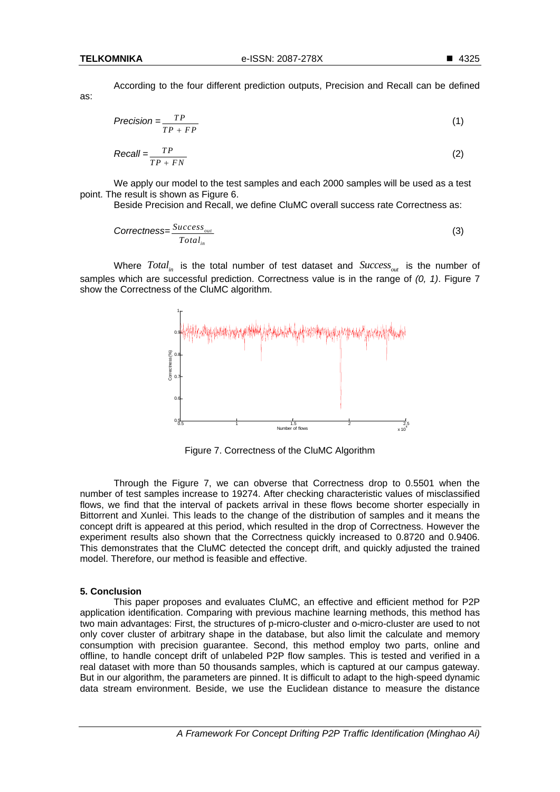as:

According to the four different prediction outputs, Precision and Recall can be defined

$$
Precision = \frac{TP}{TP + FP}
$$
 (1)

$$
Recall = \frac{TP}{TP + FN}
$$
 (2)

We apply our model to the test samples and each 2000 samples will be used as a test point. The result is shown as Figure 6.

Beside Precision and Recall, we define CluMC overall success rate Correctness as:

$$
Correctness = \frac{Success_{out}}{Total_{in}} \tag{3}
$$

Where  $Total_{in}$  is the total number of test dataset and  $Success_{out}$  is the number of samples which are successful prediction. Correctness value is in the range of *(0, 1)*. Figure 7 show the Correctness of the CluMC algorithm.



Figure 7. Correctness of the CluMC Algorithm

Through the Figure 7, we can obverse that Correctness drop to 0.5501 when the number of test samples increase to 19274. After checking characteristic values of misclassified flows, we find that the interval of packets arrival in these flows become shorter especially in Bittorrent and Xunlei. This leads to the change of the distribution of samples and it means the concept drift is appeared at this period, which resulted in the drop of Correctness. However the experiment results also shown that the Correctness quickly increased to 0.8720 and 0.9406. This demonstrates that the CluMC detected the concept drift, and quickly adjusted the trained model. Therefore, our method is feasible and effective.

#### **5. Conclusion**

This paper proposes and evaluates CluMC, an effective and efficient method for P2P application identification. Comparing with previous machine learning methods, this method has two main advantages: First, the structures of p-micro-cluster and o-micro-cluster are used to not only cover cluster of arbitrary shape in the database, but also limit the calculate and memory consumption with precision guarantee. Second, this method employ two parts, online and offline, to handle concept drift of unlabeled P2P flow samples. This is tested and verified in a real dataset with more than 50 thousands samples, which is captured at our campus gateway. But in our algorithm, the parameters are pinned. It is difficult to adapt to the high-speed dynamic data stream environment. Beside, we use the Euclidean distance to measure the distance